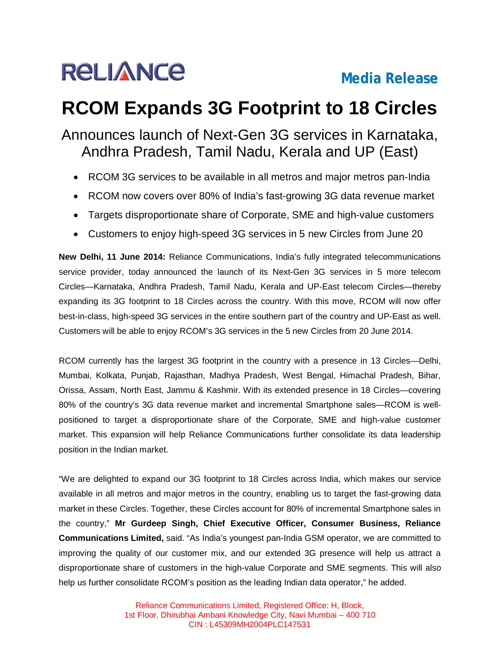

## **RCOM Expands 3G Footprint to 18 Circles**

## Announces launch of Next-Gen 3G services in Karnataka, Andhra Pradesh, Tamil Nadu, Kerala and UP (East)

- RCOM 3G services to be available in all metros and major metros pan-India
- RCOM now covers over 80% of India's fast-growing 3G data revenue market
- Targets disproportionate share of Corporate, SME and high-value customers
- Customers to enjoy high-speed 3G services in 5 new Circles from June 20

**New Delhi, 11 June 2014:** Reliance Communications, India's fully integrated telecommunications service provider, today announced the launch of its Next-Gen 3G services in 5 more telecom Circles—Karnataka, Andhra Pradesh, Tamil Nadu, Kerala and UP-East telecom Circles—thereby expanding its 3G footprint to 18 Circles across the country. With this move, RCOM will now offer best-in-class, high-speed 3G services in the entire southern part of the country and UP-East as well. Customers will be able to enjoy RCOM's 3G services in the 5 new Circles from 20 June 2014.

RCOM currently has the largest 3G footprint in the country with a presence in 13 Circles—Delhi, Mumbai, Kolkata, Punjab, Rajasthan, Madhya Pradesh, West Bengal, Himachal Pradesh, Bihar, Orissa, Assam, North East, Jammu & Kashmir. With its extended presence in 18 Circles—covering 80% of the country's 3G data revenue market and incremental Smartphone sales—RCOM is wellpositioned to target a disproportionate share of the Corporate, SME and high-value customer market. This expansion will help Reliance Communications further consolidate its data leadership position in the Indian market.

"We are delighted to expand our 3G footprint to 18 Circles across India, which makes our service available in all metros and major metros in the country, enabling us to target the fast-growing data market in these Circles. Together, these Circles account for 80% of incremental Smartphone sales in the country," **Mr Gurdeep Singh, Chief Executive Officer, Consumer Business, Reliance Communications Limited,** said. "As India's youngest pan-India GSM operator, we are committed to improving the quality of our customer mix, and our extended 3G presence will help us attract a disproportionate share of customers in the high-value Corporate and SME segments. This will also help us further consolidate RCOM's position as the leading Indian data operator," he added.